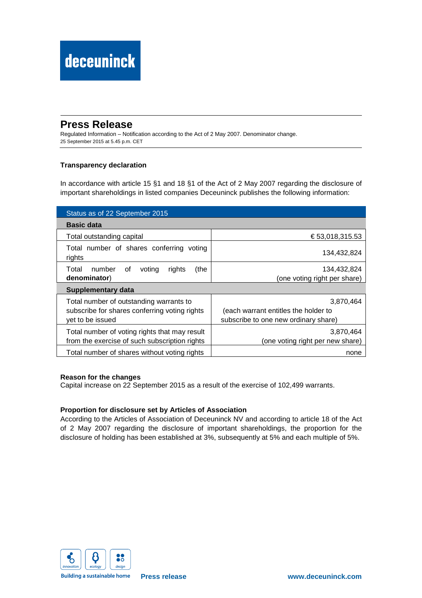# **Press Release**

Regulated Information – Notification according to the Act of 2 May 2007. Denominator change. 25 September 2015 at 5.45 p.m. CET

# **Transparency declaration**

In accordance with article 15 §1 and 18 §1 of the Act of 2 May 2007 regarding the disclosure of important shareholdings in listed companies Deceuninck publishes the following information:

| Status as of 22 September 2015                                                                               |                                                                                           |  |
|--------------------------------------------------------------------------------------------------------------|-------------------------------------------------------------------------------------------|--|
| <b>Basic data</b>                                                                                            |                                                                                           |  |
| Total outstanding capital                                                                                    | € 53,018,315.53                                                                           |  |
| Total number of shares conferring voting<br>rights                                                           | 134,432,824                                                                               |  |
| number<br>(the<br>Total<br>voting<br>rights<br>of<br>denominator)                                            | 134,432,824<br>(one voting right per share)                                               |  |
| Supplementary data                                                                                           |                                                                                           |  |
| Total number of outstanding warrants to<br>subscribe for shares conferring voting rights<br>yet to be issued | 3,870,464<br>(each warrant entitles the holder to<br>subscribe to one new ordinary share) |  |
| Total number of voting rights that may result<br>from the exercise of such subscription rights               | 3,870,464<br>(one voting right per new share)                                             |  |
| Total number of shares without voting rights                                                                 | none                                                                                      |  |

## **Reason for the changes**

Capital increase on 22 September 2015 as a result of the exercise of 102,499 warrants.

## **Proportion for disclosure set by Articles of Association**

According to the Articles of Association of Deceuninck NV and according to article 18 of the Act of 2 May 2007 regarding the disclosure of important shareholdings, the proportion for the disclosure of holding has been established at 3%, subsequently at 5% and each multiple of 5%.



**Building a sustainable home**